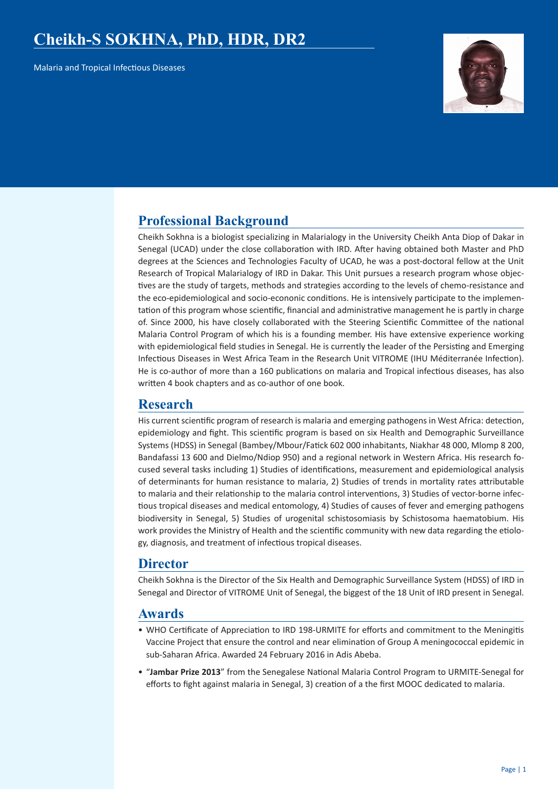# **Cheikh-S SOKHNA, PhD, HDR, DR2**

Malaria and Tropical Infectious Diseases



# **Professional Background**

Cheikh Sokhna is a biologist specializing in Malarialogy in the University Cheikh Anta Diop of Dakar in Senegal (UCAD) under the close collaboration with IRD. After having obtained both Master and PhD degrees at the Sciences and Technologies Faculty of UCAD, he was a post-doctoral fellow at the Unit Research of Tropical Malarialogy of IRD in Dakar. This Unit pursues a research program whose objectives are the study of targets, methods and strategies according to the levels of chemo-resistance and the eco-epidemiological and socio-econonic conditions. He is intensively participate to the implementation of this program whose scientific, financial and administrative management he is partly in charge of. Since 2000, his have closely collaborated with the Steering Scientific Committee of the national Malaria Control Program of which his is a founding member. His have extensive experience working with epidemiological field studies in Senegal. He is currently the leader of the Persisting and Emerging Infectious Diseases in West Africa Team in the Research Unit VITROME (IHU Méditerranée Infection). He is co-author of more than a 160 publications on malaria and Tropical infectious diseases, has also written 4 book chapters and as co-author of one book.

# **Research**

His current scientific program of research is malaria and emerging pathogens in West Africa: detection, epidemiology and fight. This scientific program is based on six Health and Demographic Surveillance Systems (HDSS) in Senegal (Bambey/Mbour/Fatick 602 000 inhabitants, Niakhar 48 000, Mlomp 8 200, Bandafassi 13 600 and Dielmo/Ndiop 950) and a regional network in Western Africa. His research focused several tasks including 1) Studies of identifications, measurement and epidemiological analysis of determinants for human resistance to malaria, 2) Studies of trends in mortality rates attributable to malaria and their relationship to the malaria control interventions, 3) Studies of vector-borne infectious tropical diseases and medical entomology, 4) Studies of causes of fever and emerging pathogens biodiversity in Senegal, 5) Studies of urogenital schistosomiasis by Schistosoma haematobium. His work provides the Ministry of Health and the scientific community with new data regarding the etiology, diagnosis, and treatment of infectious tropical diseases.

## **Director**

Cheikh Sokhna is the Director of the Six Health and Demographic Surveillance System (HDSS) of IRD in Senegal and Director of VITROME Unit of Senegal, the biggest of the 18 Unit of IRD present in Senegal.

## **Awards**

- WHO Certificate of Appreciation to IRD 198-URMITE for efforts and commitment to the Meningitis Vaccine Project that ensure the control and near elimination of Group A meningococcal epidemic in sub-Saharan Africa. Awarded 24 February 2016 in Adis Abeba.
- "**Jambar Prize 2013**" from the Senegalese National Malaria Control Program to URMITE-Senegal for efforts to fight against malaria in Senegal, 3) creation of a the first MOOC dedicated to malaria.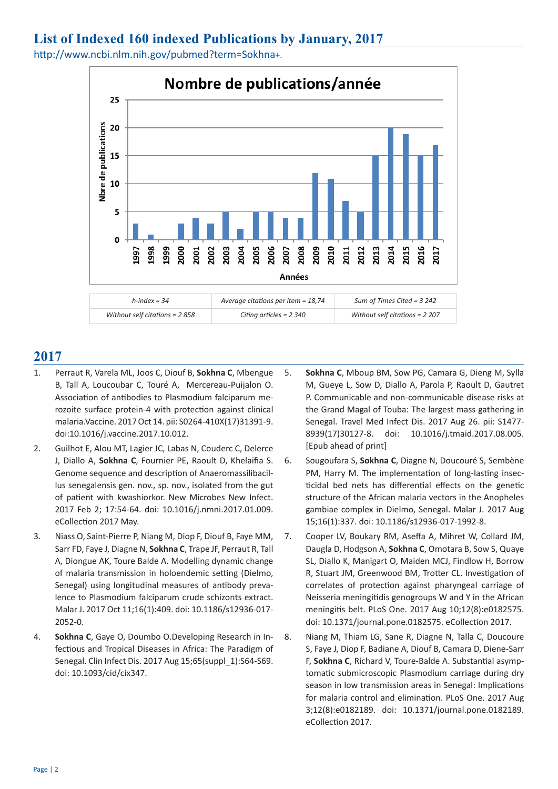# **List of Indexed 160 indexed Publications by January, 2017**

http://www.ncbi.nlm.nih.gov/pubmed?term=Sokhna+.



- 1. Perraut R, Varela ML, Joos C, Diouf B, **Sokhna C**, Mbengue B, Tall A, Loucoubar C, Touré A, Mercereau-Puijalon O. Association of antibodies to Plasmodium falciparum merozoite surface protein-4 with protection against clinical malaria.Vaccine. 2017 Oct 14. pii: S0264-410X(17)31391-9. doi:10.1016/j.vaccine.2017.10.012.
- 2. Guilhot E, Alou MT, Lagier JC, Labas N, Couderc C, Delerce J, Diallo A, **Sokhna C**, Fournier PE, Raoult D, Khelaifia S. Genome sequence and description of Anaeromassilibacillus senegalensis gen. nov., sp. nov., isolated from the gut of patient with kwashiorkor. New Microbes New Infect. 2017 Feb 2; 17:54-64. doi: 10.1016/j.nmni.2017.01.009. eCollection 2017 May.
- 3. Niass O, Saint-Pierre P, Niang M, Diop F, Diouf B, Faye MM, Sarr FD, Faye J, Diagne N, **Sokhna C**, Trape JF, Perraut R, Tall A, Diongue AK, Toure Balde A. Modelling dynamic change of malaria transmission in holoendemic setting (Dielmo, Senegal) using longitudinal measures of antibody prevalence to Plasmodium falciparum crude schizonts extract. Malar J. 2017 Oct 11;16(1):409. doi: 10.1186/s12936-017- 2052-0.
- 4. **Sokhna C**, Gaye O, Doumbo O.Developing Research in Infectious and Tropical Diseases in Africa: The Paradigm of Senegal. Clin Infect Dis. 2017 Aug 15;65(suppl\_1):S64-S69. doi: 10.1093/cid/cix347.
- 5. **Sokhna C**, Mboup BM, Sow PG, Camara G, Dieng M, Sylla M, Gueye L, Sow D, Diallo A, Parola P, Raoult D, Gautret P. Communicable and non-communicable disease risks at the Grand Magal of Touba: The largest mass gathering in Senegal. Travel Med Infect Dis. 2017 Aug 26. pii: S1477- 8939(17)30127-8. doi: 10.1016/j.tmaid.2017.08.005. [Epub ahead of print]
- 6. Sougoufara S, **Sokhna C**, Diagne N, Doucouré S, Sembène PM, Harry M. The implementation of long-lasting insecticidal bed nets has differential effects on the genetic structure of the African malaria vectors in the Anopheles gambiae complex in Dielmo, Senegal. Malar J. 2017 Aug 15;16(1):337. doi: 10.1186/s12936-017-1992-8.
- 7. Cooper LV, Boukary RM, Aseffa A, Mihret W, Collard JM, Daugla D, Hodgson A, **Sokhna C**, Omotara B, Sow S, Quaye SL, Diallo K, Manigart O, Maiden MCJ, Findlow H, Borrow R, Stuart JM, Greenwood BM, Trotter CL. Investigation of correlates of protection against pharyngeal carriage of Neisseria meningitidis genogroups W and Y in the African meningitis belt. PLoS One. 2017 Aug 10;12(8):e0182575. doi: 10.1371/journal.pone.0182575. eCollection 2017.
- 8. Niang M, Thiam LG, Sane R, Diagne N, Talla C, Doucoure S, Faye J, Diop F, Badiane A, Diouf B, Camara D, Diene-Sarr F, **Sokhna C**, Richard V, Toure-Balde A. Substantial asymptomatic submicroscopic Plasmodium carriage during dry season in low transmission areas in Senegal: Implications for malaria control and elimination. PLoS One. 2017 Aug 3;12(8):e0182189. doi: 10.1371/journal.pone.0182189. eCollection 2017.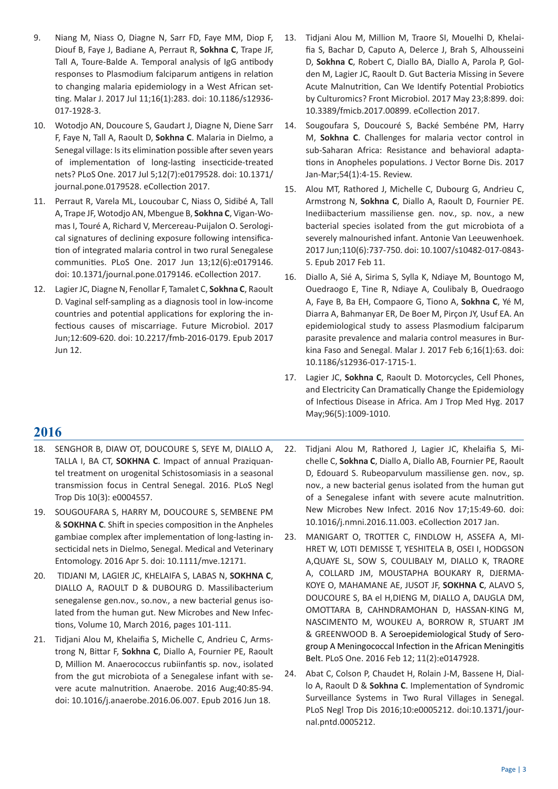- 9. Niang M, Niass O, Diagne N, Sarr FD, Faye MM, Diop F, Diouf B, Faye J, Badiane A, Perraut R, **Sokhna C**, Trape JF, Tall A, Toure-Balde A. Temporal analysis of IgG antibody responses to Plasmodium falciparum antigens in relation to changing malaria epidemiology in a West African setting. Malar J. 2017 Jul 11;16(1):283. doi: 10.1186/s12936- 017-1928-3.
- 10. Wotodjo AN, Doucoure S, Gaudart J, Diagne N, Diene Sarr F, Faye N, Tall A, Raoult D, **Sokhna C**. Malaria in Dielmo, a Senegal village: Is its elimination possible after seven years of implementation of long-lasting insecticide-treated nets? PLoS One. 2017 Jul 5;12(7):e0179528. doi: 10.1371/ journal.pone.0179528. eCollection 2017.
- 11. Perraut R, Varela ML, Loucoubar C, Niass O, Sidibé A, Tall A, Trape JF, Wotodjo AN, Mbengue B, **Sokhna C**, Vigan-Womas I, Touré A, Richard V, Mercereau-Puijalon O. Serological signatures of declining exposure following intensification of integrated malaria control in two rural Senegalese communities. PLoS One. 2017 Jun 13;12(6):e0179146. doi: 10.1371/journal.pone.0179146. eCollection 2017.
- 12. Lagier JC, Diagne N, Fenollar F, Tamalet C, **Sokhna C**, Raoult D. Vaginal self-sampling as a diagnosis tool in low-income countries and potential applications for exploring the infectious causes of miscarriage. Future Microbiol. 2017 Jun;12:609-620. doi: 10.2217/fmb-2016-0179. Epub 2017 Jun 12.
- 13. Tidjani Alou M, Million M, Traore SI, Mouelhi D, Khelaifia S, Bachar D, Caputo A, Delerce J, Brah S, Alhousseini D, **Sokhna C**, Robert C, Diallo BA, Diallo A, Parola P, Golden M, Lagier JC, Raoult D. Gut Bacteria Missing in Severe Acute Malnutrition, Can We Identify Potential Probiotics by Culturomics? Front Microbiol. 2017 May 23;8:899. doi: 10.3389/fmicb.2017.00899. eCollection 2017.
- 14. Sougoufara S, Doucouré S, Backé Sembéne PM, Harry M, **Sokhna C**. Challenges for malaria vector control in sub-Saharan Africa: Resistance and behavioral adaptations in Anopheles populations. J Vector Borne Dis. 2017 Jan-Mar;54(1):4-15. Review.
- 15. Alou MT, Rathored J, Michelle C, Dubourg G, Andrieu C, Armstrong N, **Sokhna C**, Diallo A, Raoult D, Fournier PE. Inediibacterium massiliense gen. nov., sp. nov., a new bacterial species isolated from the gut microbiota of a severely malnourished infant. Antonie Van Leeuwenhoek. 2017 Jun;110(6):737-750. doi: 10.1007/s10482-017-0843- 5. Epub 2017 Feb 11.
- 16. Diallo A, Sié A, Sirima S, Sylla K, Ndiaye M, Bountogo M, Ouedraogo E, Tine R, Ndiaye A, Coulibaly B, Ouedraogo A, Faye B, Ba EH, Compaore G, Tiono A, **Sokhna C**, Yé M, Diarra A, Bahmanyar ER, De Boer M, Pirçon JY, Usuf EA. An epidemiological study to assess Plasmodium falciparum parasite prevalence and malaria control measures in Burkina Faso and Senegal. Malar J. 2017 Feb 6;16(1):63. doi: 10.1186/s12936-017-1715-1.
- 17. Lagier JC, **Sokhna C**, Raoult D. Motorcycles, Cell Phones, and Electricity Can Dramatically Change the Epidemiology of Infectious Disease in Africa. Am J Trop Med Hyg. 2017 May;96(5):1009-1010.

- **2016**
- 18. SENGHOR B, DIAW OT, DOUCOURE S, SEYE M, DIALLO A, TALLA I, BA CT, **SOKHNA C**. Impact of annual Praziquantel treatment on urogenital Schistosomiasis in a seasonal transmission focus in Central Senegal. 2016. PLoS Negl Trop Dis 10(3): e0004557.
- 19. SOUGOUFARA S, HARRY M, DOUCOURE S, SEMBENE PM & **SOKHNA C**. Shift in species composition in the Anpheles gambiae complex after implementation of long-lasting insecticidal nets in Dielmo, Senegal. Medical and Veterinary Entomology. 2016 Apr 5. doi: 10.1111/mve.12171.
- 20. TIDJANI M, LAGIER JC, KHELAIFA S, LABAS N, **SOKHNA C**, DIALLO A, RAOULT D & DUBOURG D. Massilibacterium senegalense gen.nov., so.nov., a new bacterial genus isolated from the human gut. New Microbes and New Infections, Volume 10, March 2016, pages 101-111.
- 21. Tidjani Alou M, Khelaifia S, Michelle C, Andrieu C, Armstrong N, Bittar F, **Sokhna C**, Diallo A, Fournier PE, Raoult D, Million M. Anaerococcus rubiinfantis sp. nov., isolated from the gut microbiota of a Senegalese infant with severe acute malnutrition. Anaerobe. 2016 Aug;40:85-94. doi: 10.1016/j.anaerobe.2016.06.007. Epub 2016 Jun 18.
- 22. Tidjani Alou M, Rathored J, Lagier JC, Khelaifia S, Michelle C, **Sokhna C**, Diallo A, Diallo AB, Fournier PE, Raoult D, Edouard S. Rubeoparvulum massiliense gen. nov., sp. nov., a new bacterial genus isolated from the human gut of a Senegalese infant with severe acute malnutrition. New Microbes New Infect. 2016 Nov 17;15:49-60. doi: 10.1016/j.nmni.2016.11.003. eCollection 2017 Jan.
- 23. MANIGART O, TROTTER C, FINDLOW H, ASSEFA A, MI-HRET W, LOTI DEMISSE T, YESHITELA B, OSEI I, HODGSON A,QUAYE SL, SOW S, COULIBALY M, DIALLO K, TRAORE A, COLLARD JM, MOUSTAPHA BOUKARY R, DJERMA-KOYE O, MAHAMANE AE, JUSOT JF, **SOKHNA C**, ALAVO S, DOUCOURE S, BA el H,DIENG M, DIALLO A, DAUGLA DM, OMOTTARA B, CAHNDRAMOHAN D, HASSAN-KING M, NASCIMENTO M, WOUKEU A, BORROW R, STUART JM & GREENWOOD B. A Seroepidemiological Study of Serogroup A Meningococcal Infection in the African Meningitis Belt. PLoS One. 2016 Feb 12; 11(2):e0147928.
- 24. Abat C, Colson P, Chaudet H, Rolain J-M, Bassene H, Diallo A, Raoult D & **Sokhna C**. Implementation of Syndromic Surveillance Systems in Two Rural Villages in Senegal. PLoS Negl Trop Dis 2016;10:e0005212. doi:10.1371/journal.pntd.0005212.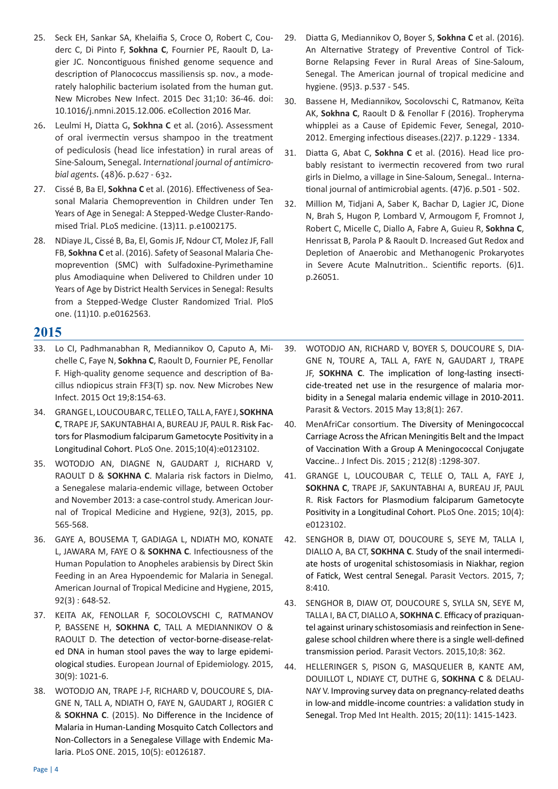- 25. Seck EH, Sankar SA, Khelaifia S, Croce O, Robert C, Couderc C, Di Pinto F, **Sokhna C**, Fournier PE, Raoult D, Lagier JC. Noncontiguous finished genome sequence and description of Planococcus massiliensis sp. nov., a moderately halophilic bacterium isolated from the human gut. New Microbes New Infect. 2015 Dec 31;10: 36-46. doi: 10.1016/j.nmni.2015.12.006. eCollection 2016 Mar.
- 26. Leulmi H, Diatta G, **Sokhna C** et al. (2016). Assessment of oral ivermectin versus shampoo in the treatment of pediculosis (head lice infestation) in rural areas of Sine-Saloum, Senegal. *International journal of antimicrobial agents*. (48)6. p.627 - 632.
- 27. Cissé B, Ba El, **Sokhna C** et al. (2016). Effectiveness of Seasonal Malaria Chemoprevention in Children under Ten Years of Age in Senegal: A Stepped-Wedge Cluster-Randomised Trial. PLoS medicine. (13)11. p.e1002175.
- 28. NDiaye JL, Cissé B, Ba, El, Gomis JF, Ndour CT, Molez JF, Fall FB, **Sokhna C** et al. (2016). Safety of Seasonal Malaria Chemoprevention (SMC) with Sulfadoxine-Pyrimethamine plus Amodiaquine when Delivered to Children under 10 Years of Age by District Health Services in Senegal: Results from a Stepped-Wedge Cluster Randomized Trial. PloS one. (11)10. p.e0162563.

- 33. Lo CI, Padhmanabhan R, Mediannikov O, Caputo A, Michelle C, Faye N, **Sokhna C**, Raoult D, Fournier PE, Fenollar F. High-quality genome sequence and description of Bacillus ndiopicus strain FF3(T) sp. nov. New Microbes New Infect. 2015 Oct 19;8:154-63.
- 34. GRANGE L, LOUCOUBAR C, TELLE O, TALL A, FAYE J, **SOKHNA C**, TRAPE JF, SAKUNTABHAI A, BUREAU JF, PAUL R. Risk Factors for Plasmodium falciparum Gametocyte Positivity in a Longitudinal Cohort. PLoS One. 2015;10(4):e0123102.
- 35. WOTODJO AN, DIAGNE N, GAUDART J, RICHARD V, RAOULT D & **SOKHNA C**. Malaria risk factors in Dielmo, a Senegalese malaria-endemic village, between October and November 2013: a case-control study. American Journal of Tropical Medicine and Hygiene, 92(3), 2015, pp. 565-568.
- 36. GAYE A, BOUSEMA T, GADIAGA L, NDIATH MO, KONATE L, JAWARA M, FAYE O & **SOKHNA C**. Infectiousness of the Human Population to Anopheles arabiensis by Direct Skin Feeding in an Area Hypoendemic for Malaria in Senegal. American Journal of Tropical Medicine and Hygiene, 2015, 92(3) : 648-52.
- 37. KEITA AK, FENOLLAR F, SOCOLOVSCHI C, RATMANOV P, BASSENE H, **SOKHNA C**, TALL A MEDIANNIKOV O & RAOULT D. The detection of vector-borne-disease-related DNA in human stool paves the way to large epidemiological studies. European Journal of Epidemiology. 2015, 30(9): 1021-6.
- 38. WOTODJO AN, TRAPE J-F, RICHARD V, DOUCOURE S, DIA-GNE N, TALL A, NDIATH O, FAYE N, GAUDART J, ROGIER C & **SOKHNA C**. (2015). No Difference in the Incidence of Malaria in Human-Landing Mosquito Catch Collectors and Non-Collectors in a Senegalese Village with Endemic Malaria. PLoS ONE. 2015, 10(5): e0126187.
- 29. Diatta G, Mediannikov O, Boyer S, **Sokhna C** et al. (2016). An Alternative Strategy of Preventive Control of Tick-Borne Relapsing Fever in Rural Areas of Sine-Saloum, Senegal. The American journal of tropical medicine and hygiene. (95)3. p.537 - 545.
- 30. Bassene H, Mediannikov, Socolovschi C, Ratmanov, Keïta AK, **Sokhna C**, Raoult D & Fenollar F (2016). Tropheryma whipplei as a Cause of Epidemic Fever, Senegal, 2010- 2012. Emerging infectious diseases.(22)7. p.1229 - 1334.
- 31. Diatta G, Abat C, **Sokhna C** et al. (2016). Head lice probably resistant to ivermectin recovered from two rural girls in Dielmo, a village in Sine-Saloum, Senegal.. International journal of antimicrobial agents. (47)6. p.501 - 502.
- 32. Million M, Tidjani A, Saber K, Bachar D, Lagier JC, Dione N, Brah S, Hugon P, Lombard V, Armougom F, Fromnot J, Robert C, Micelle C, Diallo A, Fabre A, Guieu R, **Sokhna C**, Henrissat B, Parola P & Raoult D. Increased Gut Redox and Depletion of Anaerobic and Methanogenic Prokaryotes in Severe Acute Malnutrition.. Scientific reports. (6)1. p.26051.
- 39. WOTODJO AN, RICHARD V, BOYER S, DOUCOURE S, DIA-GNE N, TOURE A, TALL A, FAYE N, GAUDART J, TRAPE JF, **SOKHNA C**. The implication of long-lasting insecticide-treated net use in the resurgence of malaria morbidity in a Senegal malaria endemic village in 2010-2011. Parasit & Vectors. 2015 May 13;8(1): 267.
- 40. MenAfriCar consortium. The Diversity of Meningococcal Carriage Across the African Meningitis Belt and the Impact of Vaccination With a Group A Meningococcal Conjugate Vaccine.. J Infect Dis. 2015 ; 212(8) :1298-307.
- 41. GRANGE L, LOUCOUBAR C, TELLE O, TALL A, FAYE J, **SOKHNA C**, TRAPE JF, SAKUNTABHAI A, BUREAU JF, PAUL R. Risk Factors for Plasmodium falciparum Gametocyte Positivity in a Longitudinal Cohort. PLoS One. 2015; 10(4): e0123102.
- 42. SENGHOR B, DIAW OT, DOUCOURE S, SEYE M, TALLA I, DIALLO A, BA CT, **SOKHNA C**. Study of the snail intermediate hosts of urogenital schistosomiasis in Niakhar, region of Fatick, West central Senegal. Parasit Vectors. 2015, 7; 8:410.
- 43. SENGHOR B, DIAW OT, DOUCOURE S, SYLLA SN, SEYE M, TALLA I, BA CT, DIALLO A, **SOKHNA C**. Efficacy of praziquantel against urinary schistosomiasis and reinfection in Senegalese school children where there is a single well-defined transmission period. Parasit Vectors. 2015,10;8: 362.
- 44. HELLERINGER S, PISON G, MASQUELIER B, KANTE AM, DOUILLOT L, NDIAYE CT, DUTHE G, **SOKHNA C** & DELAU-NAY V. Improving survey data on pregnancy-related deaths in low-and middle-income countries: a validation study in Senegal. Trop Med Int Health. 2015; 20(11): 1415-1423.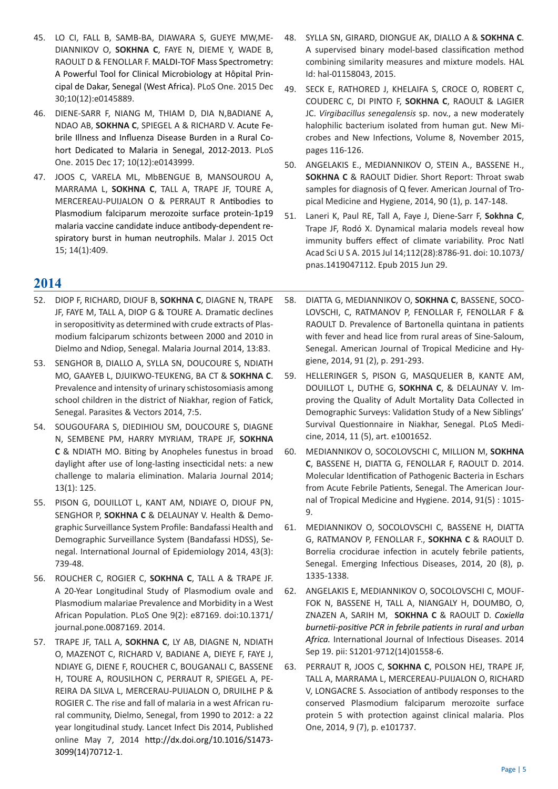- 45. LO CI, FALL B, SAMB-BA, DIAWARA S, GUEYE MW,ME-DIANNIKOV O, **SOKHNA C**, FAYE N, DIEME Y, WADE B, RAOULT D & FENOLLAR F. MALDI-TOF Mass Spectrometry: A Powerful Tool for Clinical Microbiology at Hôpital Principal de Dakar, Senegal (West Africa). PLoS One. 2015 Dec 30;10(12):e0145889.
- 46. DIENE-SARR F, NIANG M, THIAM D, DIA N,BADIANE A, NDAO AB, **SOKHNA C**, SPIEGEL A & RICHARD V. Acute Febrile Illness and Influenza Disease Burden in a Rural Cohort Dedicated to Malaria in Senegal, 2012-2013. PLoS One. 2015 Dec 17; 10(12):e0143999.
- 47. JOOS C, VARELA ML, MbBENGUE B, MANSOUROU A, MARRAMA L, **SOKHNA C**, TALL A, TRAPE JF, TOURE A, MERCEREAU-PUIJALON O & PERRAUT R Antibodies to Plasmodium falciparum merozoite surface protein-1p19 malaria vaccine candidate induce antibody-dependent respiratory burst in human neutrophils. Malar J. 2015 Oct 15; 14(1):409.

- 52. DIOP F, RICHARD, DIOUF B, **SOKHNA C**, DIAGNE N, TRAPE JF, FAYE M, TALL A, DIOP G & TOURE A. Dramatic declines in seropositivity as determined with crude extracts of Plasmodium falciparum schizonts between 2000 and 2010 in Dielmo and Ndiop, Senegal. Malaria Journal 2014, 13:83.
- 53. SENGHOR B, DIALLO A, SYLLA SN, DOUCOURE S, NDIATH MO, GAAYEB L, DJUIKWO-TEUKENG, BA CT & **SOKHNA C**. Prevalence and intensity of urinary schistosomiasis among school children in the district of Niakhar, region of Fatick, Senegal. Parasites & Vectors 2014, 7:5.
- 54. SOUGOUFARA S, DIEDIHIOU SM, DOUCOURE S, DIAGNE N, SEMBENE PM, HARRY MYRIAM, TRAPE JF, **SOKHNA C** & NDIATH MO. Biting by Anopheles funestus in broad daylight after use of long-lasting insecticidal nets: a new challenge to malaria elimination. Malaria Journal 2014; 13(1): 125.
- 55. PISON G, DOUILLOT L, KANT AM, NDIAYE O, DIOUF PN, SENGHOR P, **SOKHNA C** & DELAUNAY V. Health & Demographic Surveillance System Profile: Bandafassi Health and Demographic Surveillance System (Bandafassi HDSS), Senegal. International Journal of Epidemiology 2014, 43(3): 739-48.
- 56. ROUCHER C, ROGIER C, **SOKHNA C**, TALL A & TRAPE JF. A 20-Year Longitudinal Study of Plasmodium ovale and Plasmodium malariae Prevalence and Morbidity in a West African Population. PLoS One 9(2): e87169. doi:10.1371/ journal.pone.0087169. 2014.
- 57. TRAPE JF, TALL A, **SOKHNA C**, LY AB, DIAGNE N, NDIATH O, MAZENOT C, RICHARD V, BADIANE A, DIEYE F, FAYE J, NDIAYE G, DIENE F, ROUCHER C, BOUGANALI C, BASSENE H, TOURE A, ROUSILHON C, PERRAUT R, SPIEGEL A, PE-REIRA DA SILVA L, MERCERAU-PUIJALON O, DRUILHE P & ROGIER C. The rise and fall of malaria in a west African rural community, Dielmo, Senegal, from 1990 to 2012: a 22 year longitudinal study. Lancet Infect Dis 2014, Published online May 7, 2014 http://dx.doi.org/10.1016/S1473- 3099(14)70712-1.
- 48. SYLLA SN, GIRARD, DIONGUE AK, DIALLO A & **SOKHNA C**. A supervised binary model-based classification method combining similarity measures and mixture models. HAL Id: hal-01158043, 2015.
- 49. SECK E, RATHORED J, KHELAIFA S, CROCE O, ROBERT C, COUDERC C, DI PINTO F, **SOKHNA C**, RAOULT & LAGIER JC. *Virgibacillus senegalensis* sp. nov., a new moderately halophilic bacterium isolated from human gut. New Microbes and New Infections, Volume 8, November 2015, pages 116-126.
- 50. ANGELAKIS E., MEDIANNIKOV O, STEIN A., BASSENE H., **SOKHNA C** & RAOULT Didier. Short Report: Throat swab samples for diagnosis of Q fever. American Journal of Tropical Medicine and Hygiene, 2014, 90 (1), p. 147-148.
- 51. Laneri K, Paul RE, Tall A, Faye J, Diene-Sarr F, **Sokhna C**, Trape JF, Rodó X. Dynamical malaria models reveal how immunity buffers effect of climate variability. Proc Natl Acad Sci U S A. 2015 Jul 14;112(28):8786-91. doi: 10.1073/ pnas.1419047112. Epub 2015 Jun 29.
- 58. DIATTA G, MEDIANNIKOV O, **SOKHNA C**, BASSENE, SOCO-LOVSCHI, C, RATMANOV P, FENOLLAR F, FENOLLAR F & RAOULT D. Prevalence of Bartonella quintana in patients with fever and head lice from rural areas of Sine-Saloum, Senegal. American Journal of Tropical Medicine and Hygiene, 2014, 91 (2), p. 291-293.
- 59. HELLERINGER S, PISON G, MASQUELIER B, KANTE AM, DOUILLOT L, DUTHE G, **SOKHNA C**, & DELAUNAY V. Improving the Quality of Adult Mortality Data Collected in Demographic Surveys: Validation Study of a New Siblings' Survival Questionnaire in Niakhar, Senegal. PLoS Medicine, 2014, 11 (5), art. e1001652.
- 60. MEDIANNIKOV O, SOCOLOVSCHI C, MILLION M, **SOKHNA C**, BASSENE H, DIATTA G, FENOLLAR F, RAOULT D. 2014. Molecular Identification of Pathogenic Bacteria in Eschars from Acute Febrile Patients, Senegal. The American Journal of Tropical Medicine and Hygiene. 2014, 91(5) : 1015- 9.
- 61. MEDIANNIKOV O, SOCOLOVSCHI C, BASSENE H, DIATTA G, RATMANOV P, FENOLLAR F., **SOKHNA C** & RAOULT D. Borrelia crocidurae infection in acutely febrile patients, Senegal. Emerging Infectious Diseases, 2014, 20 (8), p. 1335-1338.
- 62. ANGELAKIS E, MEDIANNIKOV O, SOCOLOVSCHI C, MOUF-FOK N, BASSENE H, TALL A, NIANGALY H, DOUMBO, O, ZNAZEN A, SARIH M, **SOKHNA C** & RAOULT D. *Coxiella burnetii-positive PCR in febrile patients in rural and urban Africa.* International Journal of Infectious Diseases. 2014 Sep 19. pii: S1201-9712(14)01558-6.
- 63. PERRAUT R, JOOS C, **SOKHNA C**, POLSON HEJ, TRAPE JF, TALL A, MARRAMA L, MERCEREAU-PUIJALON O, RICHARD V, LONGACRE S. Association of antibody responses to the conserved Plasmodium falciparum merozoite surface protein 5 with protection against clinical malaria. Plos One, 2014, 9 (7), p. e101737.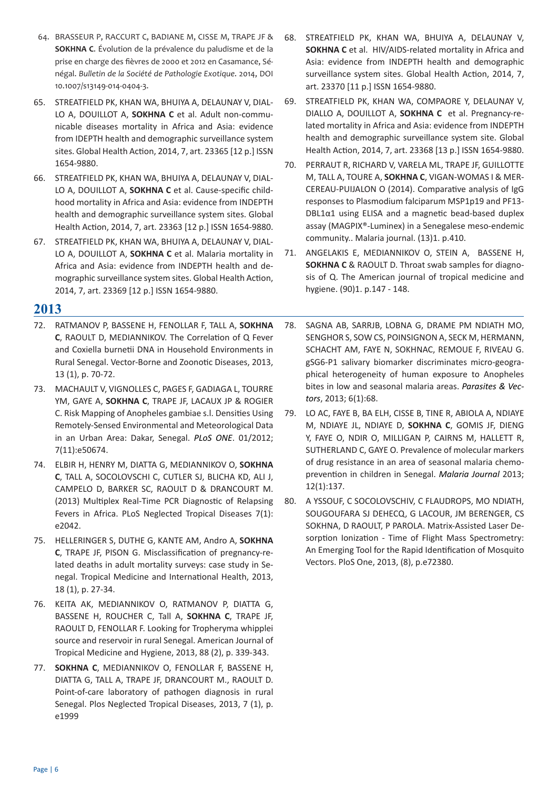- 64. BRASSEUR P, RACCURT C, BADIANE M, CISSE M, TRAPE JF & **SOKHNA C**. Évolution de la prévalence du paludisme et de la prise en charge des fièvres de 2000 et 2012 en Casamance, Sénégal. *Bulletin de la Société de Pathologie Exotique*. 2014, DOI 10.1007/s13149-014-0404-3.
- 65. STREATFIELD PK, KHAN WA, BHUIYA A, DELAUNAY V, DIAL-LO A, DOUILLOT A, **SOKHNA C** et al. Adult non-communicable diseases mortality in Africa and Asia: evidence from IDEPTH health and demographic surveillance system sites. Global Health Action, 2014, 7, art. 23365 [12 p.] ISSN 1654-9880.
- 66. STREATFIELD PK, KHAN WA, BHUIYA A, DELAUNAY V, DIAL-LO A, DOUILLOT A, **SOKHNA C** et al. Cause-specific childhood mortality in Africa and Asia: evidence from INDEPTH health and demographic surveillance system sites. Global Health Action, 2014, 7, art. 23363 [12 p.] ISSN 1654-9880.
- 67. STREATFIELD PK, KHAN WA, BHUIYA A, DELAUNAY V, DIAL-LO A, DOUILLOT A, **SOKHNA C** et al. Malaria mortality in Africa and Asia: evidence from INDEPTH health and demographic surveillance system sites. Global Health Action, 2014, 7, art. 23369 [12 p.] ISSN 1654-9880.

- 72. RATMANOV P, BASSENE H, FENOLLAR F, TALL A, **SOKHNA C**, RAOULT D, MEDIANNIKOV. The Correlation of Q Fever and Coxiella burnetii DNA in Household Environments in Rural Senegal. Vector-Borne and Zoonotic Diseases, 2013, 13 (1), p. 70-72.
- 73. MACHAULT V, VIGNOLLES C, PAGES F, GADIAGA L, TOURRE YM, GAYE A, **SOKHNA C**, TRAPE JF, LACAUX JP & ROGIER C. Risk Mapping of Anopheles gambiae s.l. Densities Using Remotely-Sensed Environmental and Meteorological Data in an Urban Area: Dakar, Senegal. *PLoS ONE*. 01/2012; 7(11):e50674.
- 74. ELBIR H, HENRY M, DIATTA G, MEDIANNIKOV O, **SOKHNA C**, TALL A, SOCOLOVSCHI C, CUTLER SJ, BLICHA KD, ALI J, CAMPELO D, BARKER SC, RAOULT D & DRANCOURT M. (2013) Multiplex Real-Time PCR Diagnostic of Relapsing Fevers in Africa. PLoS Neglected Tropical Diseases 7(1): e2042.
- 75. HELLERINGER S, DUTHE G, KANTE AM, Andro A, **SOKHNA C**, TRAPE JF, PISON G. Misclassification of pregnancy-related deaths in adult mortality surveys: case study in Senegal. Tropical Medicine and International Health, 2013, 18 (1), p. 27-34.
- 76. KEITA AK, MEDIANNIKOV O, RATMANOV P, DIATTA G, BASSENE H, ROUCHER C, Tall A, **SOKHNA C**, TRAPE JF, RAOULT D, FENOLLAR F. Looking for Tropheryma whipplei source and reservoir in rural Senegal. American Journal of Tropical Medicine and Hygiene, 2013, 88 (2), p. 339-343.
- 77. **SOKHNA C**, MEDIANNIKOV O, FENOLLAR F, BASSENE H, DIATTA G, TALL A, TRAPE JF, DRANCOURT M., RAOULT D. Point-of-care laboratory of pathogen diagnosis in rural Senegal. Plos Neglected Tropical Diseases, 2013, 7 (1), p. e1999
- 68. STREATFIELD PK, KHAN WA, BHUIYA A, DELAUNAY V, **SOKHNA C** et al. HIV/AIDS-related mortality in Africa and Asia: evidence from INDEPTH health and demographic surveillance system sites. Global Health Action, 2014, 7, art. 23370 [11 p.] ISSN 1654-9880.
- 69. STREATFIELD PK, KHAN WA, COMPAORE Y, DELAUNAY V, DIALLO A, DOUILLOT A, **SOKHNA C** et al. Pregnancy-related mortality in Africa and Asia: evidence from INDEPTH health and demographic surveillance system site. Global Health Action, 2014, 7, art. 23368 [13 p.] ISSN 1654-9880.
- 70. PERRAUT R, RICHARD V, VARELA ML, TRAPE JF, GUILLOTTE M, TALL A, TOURE A, **SOKHNA C**, VIGAN-WOMAS I & MER-CEREAU-PUIJALON O (2014). Comparative analysis of IgG responses to Plasmodium falciparum MSP1p19 and PF13- DBL1α1 using ELISA and a magnetic bead-based duplex assay (MAGPIX®-Luminex) in a Senegalese meso-endemic community.. Malaria journal. (13)1. p.410.
- 71. ANGELAKIS E, MEDIANNIKOV O, STEIN A, BASSENE H, **SOKHNA C** & RAOULT D. Throat swab samples for diagnosis of Q. The American journal of tropical medicine and hygiene. (90)1. p.147 - 148.
- 78. SAGNA AB, SARRJB, LOBNA G, DRAME PM NDIATH MO, SENGHOR S, SOW CS, POINSIGNON A, SECK M, HERMANN, SCHACHT AM, FAYE N, SOKHNAC, REMOUE F, RIVEAU G. gSG6-P1 salivary biomarker discriminates micro-geographical heterogeneity of human exposure to Anopheles bites in low and seasonal malaria areas. *Parasites & Vectors*, 2013; 6(1):68.
- 79. LO AC, FAYE B, BA ELH, CISSE B, TINE R, ABIOLA A, NDIAYE M, NDIAYE JL, NDIAYE D, **SOKHNA C**, GOMIS JF, DIENG Y, FAYE O, NDIR O, MILLIGAN P, CAIRNS M, HALLETT R, SUTHERLAND C, GAYE O. Prevalence of molecular markers of drug resistance in an area of seasonal malaria chemoprevention in children in Senegal. *Malaria Journal* 2013; 12(1):137.
- 80. A YSSOUF, C SOCOLOVSCHIV, C FLAUDROPS, MO NDIATH, SOUGOUFARA SJ DEHECQ, G LACOUR, JM BERENGER, CS SOKHNA, D RAOULT, P PAROLA. Matrix-Assisted Laser Desorption Ionization - Time of Flight Mass Spectrometry: An Emerging Tool for the Rapid Identification of Mosquito Vectors. PloS One, 2013, (8), p.e72380.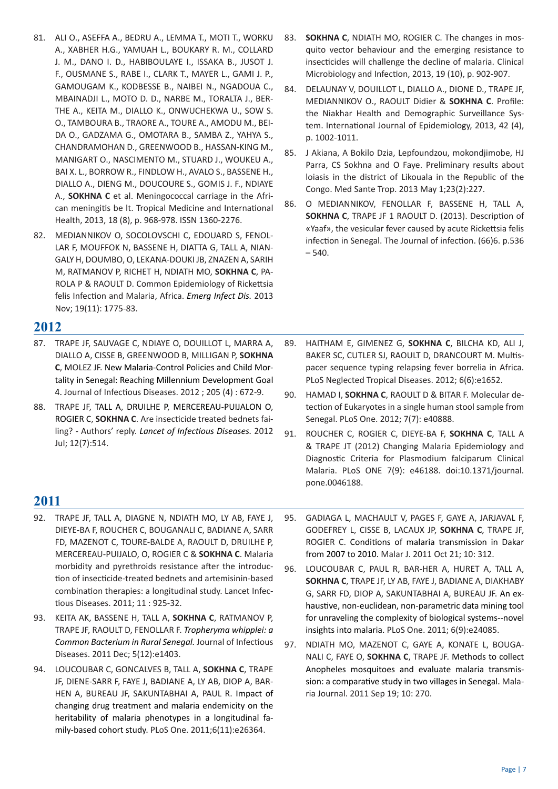- 81. ALI O., ASEFFA A., BEDRU A., LEMMA T., MOTI T., WORKU A., XABHER H.G., YAMUAH L., BOUKARY R. M., COLLARD J. M., DANO I. D., HABIBOULAYE I., ISSAKA B., JUSOT J. F., OUSMANE S., RABE I., CLARK T., MAYER L., GAMI J. P., GAMOUGAM K., KODBESSE B., NAIBEI N., NGADOUA C., MBAINADJI L., MOTO D. D., NARBE M., TORALTA J., BER-THE A., KEITA M., DIALLO K., ONWUCHEKWA U., SOW S. O., TAMBOURA B., TRAORE A., TOURE A., AMODU M., BEI-DA O., GADZAMA G., OMOTARA B., SAMBA Z., YAHYA S., CHANDRAMOHAN D., GREENWOOD B., HASSAN-KING M., MANIGART O., NASCIMENTO M., STUARD J., WOUKEU A., BAI X. L., BORROW R., FINDLOW H., AVALO S., BASSENE H., DIALLO A., DIENG M., DOUCOURE S., GOMIS J. F., NDIAYE A., **SOKHNA C** et al. Meningococcal carriage in the African meningitis be lt. Tropical Medicine and International Health, 2013, 18 (8), p. 968-978. ISSN 1360-2276.
- 82. MEDIANNIKOV O, SOCOLOVSCHI C, EDOUARD S, FENOL-LAR F, MOUFFOK N, BASSENE H, DIATTA G, TALL A, NIAN-GALY H, DOUMBO, O, LEKANA-DOUKI JB, ZNAZEN A, SARIH M, RATMANOV P, RICHET H, NDIATH MO, **SOKHNA C**, PA-ROLA P & RAOULT D. Common Epidemiology of Rickettsia felis Infection and Malaria, Africa. *Emerg Infect Dis.* 2013 Nov; 19(11): 1775-83.
- **2012**
- 87. TRAPE JF, SAUVAGE C, NDIAYE O, DOUILLOT L, MARRA A, DIALLO A, CISSE B, GREENWOOD B, MILLIGAN P, **SOKHNA C**, MOLEZ JF. New Malaria-Control Policies and Child Mortality in Senegal: Reaching Millennium Development Goal 4. Journal of Infectious Diseases. 2012 ; 205 (4) : 672-9.
- 88. TRAPE JF, TALL A, DRUILHE P, MERCEREAU-PUIJALON O, ROGIER C, **SOKHNA C**. Are insecticide treated bednets failing? - Authors' reply. *Lancet of Infectious Diseases.* 2012 Jul; 12(7):514.
- 83. **SOKHNA C**, NDIATH MO, ROGIER C. The changes in mosquito vector behaviour and the emerging resistance to insecticides will challenge the decline of malaria. Clinical Microbiology and Infection, 2013, 19 (10), p. 902-907.
- 84. DELAUNAY V, DOUILLOT L, DIALLO A., DIONE D., TRAPE JF, MEDIANNIKOV O., RAOULT Didier & **SOKHNA C**. Profile: the Niakhar Health and Demographic Surveillance System. International Journal of Epidemiology, 2013, 42 (4), p. 1002-1011.
- 85. J Akiana, A Bokilo Dzia, Lepfoundzou, mokondjimobe, HJ Parra, CS Sokhna and O Faye. Preliminary results about loiasis in the district of Likouala in the Republic of the Congo. Med Sante Trop. 2013 May 1;23(2):227.
- 86. O MEDIANNIKOV, FENOLLAR F, BASSENE H, TALL A, **SOKHNA C**, TRAPE JF 1 RAOULT D. (2013). Description of «Yaaf», the vesicular fever caused by acute Rickettsia felis infection in Senegal. The Journal of infection. (66)6. p.536 – 540.

- 89. HAITHAM E, GIMENEZ G, **SOKHNA C**, BILCHA KD, ALI J, BAKER SC, CUTLER SJ, RAOULT D, DRANCOURT M. Multispacer sequence typing relapsing fever borrelia in Africa. PLoS Neglected Tropical Diseases. 2012; 6(6):e1652.
- 90. HAMAD I, **SOKHNA C**, RAOULT D & BITAR F. Molecular detection of Eukaryotes in a single human stool sample from Senegal. PLoS One. 2012; 7(7): e40888.
- 91. ROUCHER C, ROGIER C, DIEYE-BA F, **SOKHNA C**, TALL A & TRAPE JT (2012) Changing Malaria Epidemiology and Diagnostic Criteria for Plasmodium falciparum Clinical Malaria. PLoS ONE 7(9): e46188. doi:10.1371/journal. pone.0046188.

- 92. TRAPE JF, TALL A, DIAGNE N, NDIATH MO, LY AB, FAYE J, DIEYE-BA F, ROUCHER C, BOUGANALI C, BADIANE A, SARR FD, MAZENOT C, TOURE-BALDE A, RAOULT D, DRUILHE P, MERCEREAU-PUIJALO, O, ROGIER C & **SOKHNA C**. Malaria morbidity and pyrethroids resistance after the introduction of insecticide-treated bednets and artemisinin-based combination therapies: a longitudinal study. Lancet Infectious Diseases. 2011; 11 : 925-32.
- 93. KEITA AK, BASSENE H, TALL A, **SOKHNA C**, RATMANOV P, TRAPE JF, RAOULT D, FENOLLAR F. *Tropheryma whipplei: a Common Bacterium in Rural Senegal.* Journal of Infectious Diseases. 2011 Dec; 5(12):e1403.
- 94. LOUCOUBAR C, GONCALVES B, TALL A, **SOKHNA C**, TRAPE JF, DIENE-SARR F, FAYE J, BADIANE A, LY AB, DIOP A, BAR-HEN A, BUREAU JF, SAKUNTABHAI A, PAUL R. Impact of changing drug treatment and malaria endemicity on the heritability of malaria phenotypes in a longitudinal family-based cohort study. PLoS One. 2011;6(11):e26364.
- 95. GADIAGA L, MACHAULT V, PAGES F, GAYE A, JARJAVAL F, GODEFREY L, CISSE B, LACAUX JP, **SOKHNA C**, TRAPE JF, ROGIER C. Conditions of malaria transmission in Dakar from 2007 to 2010. Malar J. 2011 Oct 21; 10: 312.
- 96. LOUCOUBAR C, PAUL R, BAR-HER A, HURET A, TALL A, **SOKHNA C**, TRAPE JF, LY AB, FAYE J, BADIANE A, DIAKHABY G, SARR FD, DIOP A, SAKUNTABHAI A, BUREAU JF. An exhaustive, non-euclidean, non-parametric data mining tool for unraveling the complexity of biological systems--novel insights into malaria. PLoS One. 2011; 6(9):e24085.
- 97. NDIATH MO, MAZENOT C, GAYE A, KONATE L, BOUGA-NALI C, FAYE O, **SOKHNA C**, TRAPE JF. Methods to collect Anopheles mosquitoes and evaluate malaria transmission: a comparative study in two villages in Senegal. Malaria Journal. 2011 Sep 19; 10: 270.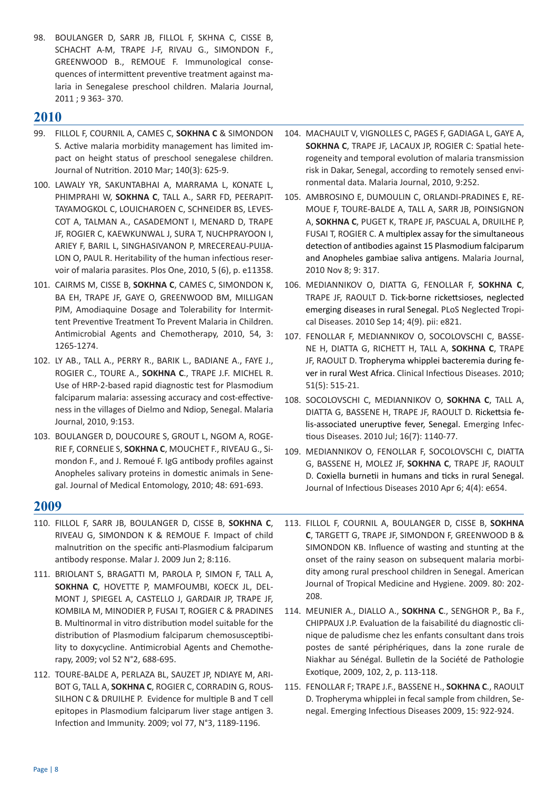98. BOULANGER D, SARR JB, FILLOL F, SKHNA C, CISSE B, SCHACHT A‐M, TRAPE J‐F, RIVAU G., SIMONDON F., GREENWOOD B., REMOUE F. Immunological consequences of intermittent preventive treatment against malaria in Senegalese preschool children. Malaria Journal, 2011 ; 9 363‐ 370.

# **2010**

- 99. FILLOL F, COURNIL A, CAMES C, **SOKHNA C** & SIMONDON S. Active malaria morbidity management has limited impact on height status of preschool senegalese children. Journal of Nutrition. 2010 Mar; 140(3): 625-9.
- 100. LAWALY YR, SAKUNTABHAI A, MARRAMA L, KONATE L, PHIMPRAHI W, **SOKHNA C**, TALL A., SARR FD, PEERAPIT-TAYAMOGKOL C, LOUICHAROEN C, SCHNEIDER BS, LEVES-COT A, TALMAN A., CASADEMONT I, MENARD D, TRAPE JF, ROGIER C, KAEWKUNWAL J, SURA T, NUCHPRAYOON I, ARIEY F, BARIL L, SINGHASIVANON P, MRECEREAU-PUIJA-LON O, PAUL R. Heritability of the human infectious reservoir of malaria parasites. Plos One, 2010, 5 (6), p. e11358.
- 101. CAIRMS M, CISSE B, **SOKHNA C**, CAMES C, SIMONDON K, BA EH, TRAPE JF, GAYE O, GREENWOOD BM, MILLIGAN PJM, Amodiaquine Dosage and Tolerability for Intermittent Preventive Treatment To Prevent Malaria in Children. Antimicrobial Agents and Chemotherapy, 2010, 54, 3: 1265-1274.
- 102. LY AB., TALL A., PERRY R., BARIK L., BADIANE A., FAYE J., ROGIER C., TOURE A., **SOKHNA C**., TRAPE J.F. MICHEL R. Use of HRP-2-based rapid diagnostic test for Plasmodium falciparum malaria: assessing accuracy and cost-effectiveness in the villages of Dielmo and Ndiop, Senegal. Malaria Journal, 2010, 9:153.
- 103. BOULANGER D, DOUCOURE S, GROUT L, NGOM A, ROGE-RIE F, CORNELIE S, **SOKHNA C**, MOUCHET F., RIVEAU G., Simondon F., and J. Remoué F. IgG antibody profiles against Anopheles salivary proteins in domestic animals in Senegal. Journal of Medical Entomology, 2010; 48: 691‐693.

- 110. FILLOL F, SARR JB, BOULANGER D, CISSE B, **SOKHNA C**, RIVEAU G, SIMONDON K & REMOUE F. Impact of child malnutrition on the specific anti-Plasmodium falciparum antibody response. Malar J. 2009 Jun 2; 8:116.
- 111. BRIOLANT S, BRAGATTI M, PAROLA P, SIMON F, TALL A, **SOKHNA C**, HOVETTE P, MAMFOUMBI, KOECK JL, DEL-MONT J, SPIEGEL A, CASTELLO J, GARDAIR JP, TRAPE JF, KOMBILA M, MINODIER P, FUSAI T, ROGIER C & PRADINES B. Multinormal in vitro distribution model suitable for the distribution of Plasmodium falciparum chemosusceptibility to doxycycline. Antimicrobial Agents and Chemotherapy, 2009; vol 52 N°2, 688-695.
- 112. TOURE-BALDE A, PERLAZA BL, SAUZET JP, NDIAYE M, ARI-BOT G, TALL A, **SOKHNA C**, ROGIER C, CORRADIN G, ROUS-SILHON C & DRUILHE P. Evidence for multiple B and T cell epitopes in Plasmodium falciparum liver stage antigen 3. Infection and Immunity. 2009; vol 77, N°3, 1189-1196.
- 104. MACHAULT V, VIGNOLLES C, PAGES F, GADIAGA L, GAYE A, **SOKHNA C**, TRAPE JF, LACAUX JP, ROGIER C: Spatial heterogeneity and temporal evolution of malaria transmission risk in Dakar, Senegal, according to remotely sensed environmental data. Malaria Journal, 2010, 9:252.
- 105. AMBROSINO E, DUMOULIN C, ORLANDI-PRADINES E, RE-MOUE F, TOURE-BALDE A, TALL A, SARR JB, POINSIGNON A, **SOKHNA C**, PUGET K, TRAPE JF, PASCUAL A, DRUILHE P, FUSAI T, ROGIER C. A multiplex assay for the simultaneous detection of antibodies against 15 Plasmodium falciparum and Anopheles gambiae saliva antigens. Malaria Journal, 2010 Nov 8; 9: 317.
- 106. MEDIANNIKOV O, DIATTA G, FENOLLAR F, **SOKHNA C**, TRAPE JF, RAOULT D. Tick-borne rickettsioses, neglected emerging diseases in rural Senegal. PLoS Neglected Tropical Diseases. 2010 Sep 14; 4(9). pii: e821.
- 107. FENOLLAR F, MEDIANNIKOV O, SOCOLOVSCHI C, BASSE-NE H, DIATTA G, RICHETT H, TALL A, **SOKHNA C**, TRAPE JF, RAOULT D. Tropheryma whipplei bacteremia during fever in rural West Africa. Clinical Infectious Diseases. 2010; 51(5): 515-21.
- 108. SOCOLOVSCHI C, MEDIANNIKOV O, **SOKHNA C**, TALL A, DIATTA G, BASSENE H, TRAPE JF, RAOULT D. Rickettsia felis-associated uneruptive fever, Senegal. Emerging Infectious Diseases. 2010 Jul; 16(7): 1140-77.
- 109. MEDIANNIKOV O, FENOLLAR F, SOCOLOVSCHI C, DIATTA G, BASSENE H, MOLEZ JF, **SOKHNA C**, TRAPE JF, RAOULT D. Coxiella burnetii in humans and ticks in rural Senegal. Journal of Infectious Diseases 2010 Apr 6; 4(4): e654.
- 113. FILLOL F, COURNIL A, BOULANGER D, CISSE B, **SOKHNA C**, TARGETT G, TRAPE JF, SIMONDON F, GREENWOOD B & SIMONDON KB. Influence of wasting and stunting at the onset of the rainy season on subsequent malaria morbidity among rural preschool children in Senegal. American Journal of Tropical Medicine and Hygiene. 2009. 80: 202- 208.
- 114. MEUNIER A., DIALLO A., **SOKHNA C**., SENGHOR P., Ba F., CHIPPAUX J.P. Evaluation de la faisabilité du diagnostic clinique de paludisme chez les enfants consultant dans trois postes de santé périphériques, dans la zone rurale de Niakhar au Sénégal. Bulletin de la Société de Pathologie Exotique, 2009, 102, 2, p. 113-118.
- 115. FENOLLAR F; TRAPE J.F., BASSENE H., **SOKHNA C**., RAOULT D. Tropheryma whipplei in fecal sample from children, Senegal. Emerging Infectious Diseases 2009, 15: 922-924.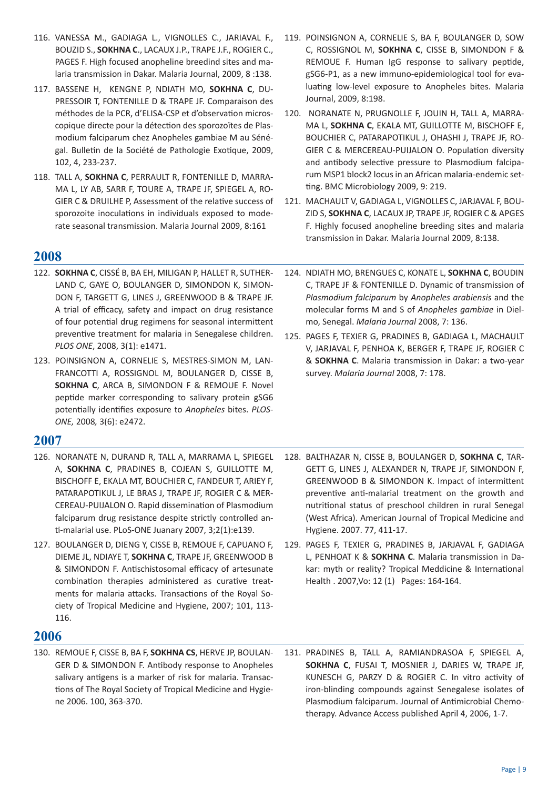- 116. VANESSA M., GADIAGA L., VIGNOLLES C., JARIAVAL F., BOUZID S., **SOKHNA C**., LACAUX J.P., TRAPE J.F., ROGIER C., PAGES F. High focused anopheline breedind sites and malaria transmission in Dakar. Malaria Journal, 2009, 8 :138.
- 117. BASSENE H, KENGNE P, NDIATH MO, **SOKHNA C**, DU-PRESSOIR T, FONTENILLE D & TRAPE JF. Comparaison des méthodes de la PCR, d'ELISA-CSP et d'observation microscopique directe pour la détection des sporozoïtes de Plasmodium falciparum chez Anopheles gambiae M au Sénégal. Bulletin de la Société de Pathologie Exotique, 2009, 102, 4, 233-237.
- 118. TALL A, **SOKHNA C**, PERRAULT R, FONTENILLE D, MARRA-MA L, LY AB, SARR F, TOURE A, TRAPE JF, SPIEGEL A, RO-GIER C & DRUILHE P, Assessment of the relative success of sporozoite inoculations in individuals exposed to moderate seasonal transmission. Malaria Journal 2009, 8:161

- 122. **SOKHNA C**, CISSÉ B, BA EH, MILIGAN P, HALLET R, SUTHER-LAND C, GAYE O, BOULANGER D, SIMONDON K, SIMON-DON F, TARGETT G, LINES J, GREENWOOD B & TRAPE JF. A trial of efficacy, safety and impact on drug resistance of four potential drug regimens for seasonal intermittent preventive treatment for malaria in Senegalese children. *PLOS ONE*, 2008, 3(1): e1471.
- 123. POINSIGNON A, CORNELIE S, MESTRES-SIMON M, LAN-FRANCOTTI A, ROSSIGNOL M, BOULANGER D, CISSE B, **SOKHNA C**, ARCA B, SIMONDON F & REMOUE F. Novel peptide marker corresponding to salivary protein gSG6 potentially identifies exposure to *Anopheles* bites. *PLOS-ONE,* 2008*,* 3(6): e2472.

## **2007**

- 126. NORANATE N, DURAND R, TALL A, MARRAMA L, SPIEGEL A, **SOKHNA C**, PRADINES B, COJEAN S, GUILLOTTE M, BISCHOFF E, EKALA MT, BOUCHIER C, FANDEUR T, ARIEY F, PATARAPOTIKUL J, LE BRAS J, TRAPE JF, ROGIER C & MER-CEREAU-PUIJALON O. Rapid dissemination of Plasmodium falciparum drug resistance despite strictly controlled anti-malarial use. PLoS-ONE Juanary 2007, 3;2(1):e139.
- 127. BOULANGER D, DIENG Y, CISSE B, REMOUE F, CAPUANO F, DIEME JL, NDIAYE T, **SOKHNA C**, TRAPE JF, GREENWOOD B & SIMONDON F. Antischistosomal efficacy of artesunate combination therapies administered as curative treatments for malaria attacks. Transactions of the Royal Society of Tropical Medicine and Hygiene, 2007; 101, 113- 116.

## **2006**

130. REMOUE F, CISSE B, BA F, **SOKHNA CS**, HERVE JP, BOULAN-GER D & SIMONDON F. Antibody response to Anopheles salivary antigens is a marker of risk for malaria. Transactions of The Royal Society of Tropical Medicine and Hygiene 2006. 100, 363-370.

- 119. POINSIGNON A, CORNELIE S, BA F, BOULANGER D, SOW C, ROSSIGNOL M, **SOKHNA C**, CISSE B, SIMONDON F & REMOUE F. Human IgG response to salivary peptide, gSG6-P1, as a new immuno-epidemiological tool for evaluating low-level exposure to Anopheles bites. Malaria Journal, 2009, 8:198.
- 120. NORANATE N, PRUGNOLLE F, JOUIN H, TALL A, MARRA-MA L, **SOKHNA C**, EKALA MT, GUILLOTTE M, BISCHOFF E, BOUCHIER C, PATARAPOTIKUL J, OHASHI J, TRAPE JF, RO-GIER C & MERCEREAU-PUIJALON O. Population diversity and antibody selective pressure to Plasmodium falciparum MSP1 block2 locus in an African malaria-endemic setting. BMC Microbiology 2009, 9: 219.
- 121. MACHAULT V, GADIAGA L, VIGNOLLES C, JARJAVAL F, BOU-ZID S, **SOKHNA C**, LACAUX JP, TRAPE JF, ROGIER C & APGES F. Highly focused anopheline breeding sites and malaria transmission in Dakar. Malaria Journal 2009, 8:138.
- 124. NDIATH MO, BRENGUES C, KONATE L, **SOKHNA C**, BOUDIN C, TRAPE JF & FONTENILLE D. Dynamic of transmission of *Plasmodium falciparum* by *Anopheles arabiensis* and the molecular forms M and S of *Anopheles gambiae* in Dielmo, Senegal. *Malaria Journal* 2008, 7: 136.
- 125. PAGES F, TEXIER G, PRADINES B, GADIAGA L, MACHAULT V, JARJAVAL F, PENHOA K, BERGER F, TRAPE JF, ROGIER C & **SOKHNA C**. Malaria transmission in Dakar: a two-year survey. *Malaria Journal* 2008, 7: 178.
- 128. BALTHAZAR N, CISSE B, BOULANGER D, **SOKHNA C**, TAR-GETT G, LINES J, ALEXANDER N, TRAPE JF, SIMONDON F, GREENWOOD B & SIMONDON K. Impact of intermittent preventive anti-malarial treatment on the growth and nutritional status of preschool children in rural Senegal (West Africa). American Journal of Tropical Medicine and Hygiene. 2007. 77, 411-17.
- 129. PAGES F, TEXIER G, PRADINES B, JARJAVAL F, GADIAGA L, PENHOAT K & **SOKHNA C**. Malaria transmission in Dakar: myth or reality? Tropical Meddicine & International Health . 2007,Vo: 12 (1) Pages: 164-164.
- 131. PRADINES B, TALL A, RAMIANDRASOA F, SPIEGEL A, **SOKHNA C**, FUSAI T, MOSNIER J, DARIES W, TRAPE JF, KUNESCH G, PARZY D & ROGIER C. In vitro activity of iron-blinding compounds against Senegalese isolates of Plasmodium falciparum. Journal of Antimicrobial Chemotherapy. Advance Access published April 4, 2006, 1-7.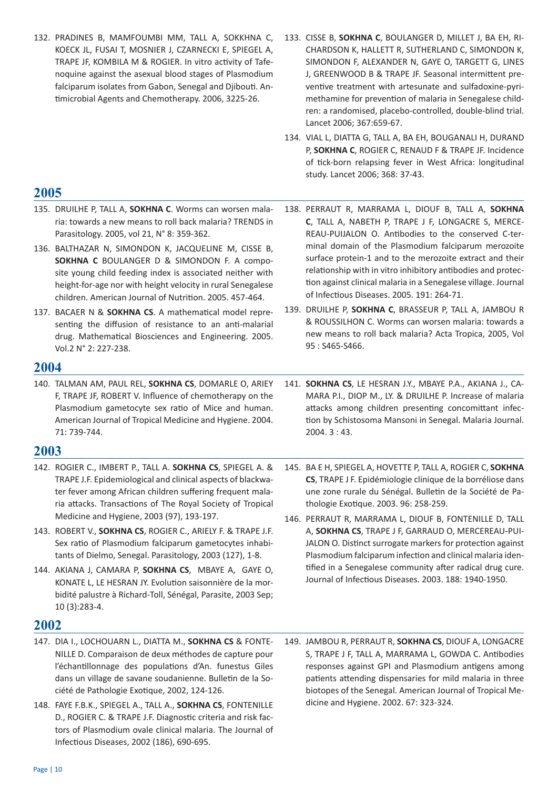- 132. PRADINES B, MAMFOUMBI MM, TALL A, SOKKHNA C, KOECK JL, FUSAI T, MOSNIER J, CZARNECKI E, SPIEGEL A, TRAPE JF, KOMBILA M & ROGIER. In vitro activity of Tafenoquine against the asexual blood stages of Plasmodium falciparum isolates from Gabon, Senegal and Djibouti. Antimicrobial Agents and Chemotherapy. 2006, 3225-26.
- 133. CISSE B, **SOKHNA C**, BOULANGER D, MILLET J, BA EH, RI-CHARDSON K, HALLETT R, SUTHERLAND C, SIMONDON K, SIMONDON F, ALEXANDER N, GAYE O, TARGETT G, LINES J, GREENWOOD B & TRAPE JF. Seasonal intermittent preventive treatment with artesunate and sulfadoxine-pyrimethamine for prevention of malaria in Senegalese children: a randomised, placebo-controlled, double-blind trial. Lancet 2006; 367:659-67.
- 134. VIAL L, DIATTA G, TALL A, BA EH, BOUGANALI H, DURAND P, **SOKHNA C**, ROGIER C, RENAUD F & TRAPE JF. Incidence of tick-born relapsing fever in West Africa: longitudinal study. Lancet 2006; 368: 37-43.

- 135. DRUILHE P, TALL A, **SOKHNA C**. Worms can worsen malaria: towards a new means to roll back malaria? TRENDS in Parasitology. 2005, vol 21, N° 8: 359-362.
- 136. BALTHAZAR N, SIMONDON K, JACQUELINE M, CISSE B, **SOKHNA C** BOULANGER D & SIMONDON F. A composite young child feeding index is associated neither with height-for-age nor with height velocity in rural Senegalese children. American Journal of Nutrition. 2005. 457-464.
- 137. BACAER N & **SOKHNA CS**. A mathematical model representing the diffusion of resistance to an anti-malarial drug. Mathematical Biosciences and Engineering. 2005. Vol.2 N° 2: 227-238.

## **2004**

140. TALMAN AM, PAUL REL, **SOKHNA CS**, DOMARLE O, ARIEY F, TRAPE JF, ROBERT V. Influence of chemotherapy on the Plasmodium gametocyte sex ratio of Mice and human. American Journal of Tropical Medicine and Hygiene. 2004. 71: 739-744.

## **2003**

- 142. ROGIER C., IMBERT P., TALL A. **SOKHNA CS**, SPIEGEL A. & TRAPE J.F. Epidemiological and clinical aspects of blackwater fever among African children suffering frequent malaria attacks. Transactions of The Royal Society of Tropical Medicine and Hygiene, 2003 (97), 193-197.
- 143. ROBERT V., **SOKHNA CS**, ROGIER C., ARIELY F. & TRAPE J.F. Sex ratio of Plasmodium falciparum gametocytes inhabitants of Dielmo, Senegal. Parasitology, 2003 (127), 1-8.
- 144. AKIANA J, CAMARA P, **SOKHNA CS**, MBAYE A, GAYE O, KONATE L, LE HESRAN JY. Evolution saisonnière de la morbidité palustre à Richard-Toll, Sénégal, Parasite, 2003 Sep; 10 (3):283-4.

- 147. DIA I., LOCHOUARN L., DIATTA M., **SOKHNA CS** & FONTE-NILLE D. Comparaison de deux méthodes de capture pour l'échantillonnage des populations d'An. funestus Giles dans un village de savane soudanienne. Bulletin de la Société de Pathologie Exotique, 2002, 124-126.
- 148. FAYE F.B.K., SPIEGEL A., TALL A., **SOKHNA CS**, FONTENILLE D., ROGIER C. & TRAPE J.F. Diagnostic criteria and risk factors of Plasmodium ovale clinical malaria. The Journal of Infectious Diseases, 2002 (186), 690-695.
- 138. PERRAUT R, MARRAMA L, DIOUF B, TALL A, **SOKHNA C**, TALL A, NABETH P, TRAPE J F, LONGACRE S, MERCE-REAU-PUIJALON O. Antibodies to the conserved C-terminal domain of the Plasmodium falciparum merozoite surface protein-1 and to the merozoite extract and their relationship with in vitro inhibitory antibodies and protection against clinical malaria in a Senegalese village. Journal of Infectious Diseases. 2005. 191: 264-71.
- 139. DRUILHE P, **SOKHNA C**, BRASSEUR P, TALL A, JAMBOU R & ROUSSILHON C. Worms can worsen malaria: towards a new means to roll back malaria? Acta Tropica, 2005, Vol 95 : S465-S466.
- 141. **SOKHNA CS**, LE HESRAN J.Y., MBAYE P.A., AKIANA J., CA-MARA P.I., DIOP M., LY. & DRUILHE P. Increase of malaria attacks among children presenting concomittant infection by Schistosoma Mansoni in Senegal. Malaria Journal. 2004. 3 : 43.
- 145. BA E H, SPIEGEL A, HOVETTE P, TALL A, ROGIER C, **SOKHNA CS**, TRAPE J F. Epidémiologie clinique de la borréliose dans une zone rurale du Sénégal. Bulletin de la Société de Pathologie Exotique. 2003. 96: 258-259.
- 146. PERRAUT R, MARRAMA L, DIOUF B, FONTENILLE D, TALL A, **SOKHNA CS**, TRAPE J F, GARRAUD O, MERCEREAU-PUI-JALON O. Distinct surrogate markers for protection against Plasmodium falciparum infection and clinical malaria identified in a Senegalese community after radical drug cure. Journal of Infectious Diseases. 2003. 188: 1940-1950.
- 149. JAMBOU R, PERRAUT R, **SOKHNA CS**, DIOUF A, LONGACRE S, TRAPE J F, TALL A, MARRAMA L, GOWDA C. Antibodies responses against GPI and Plasmodium antigens among patients attending dispensaries for mild malaria in three biotopes of the Senegal. American Journal of Tropical Medicine and Hygiene. 2002. 67: 323-324.